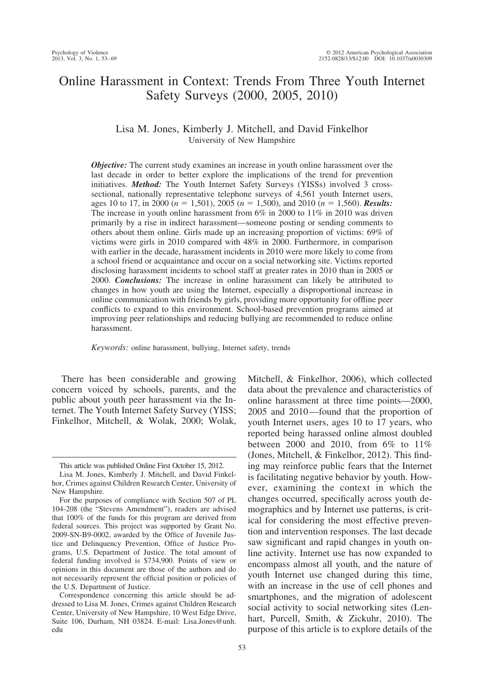# Online Harassment in Context: Trends From Three Youth Internet Safety Surveys (2000, 2005, 2010)

## Lisa M. Jones, Kimberly J. Mitchell, and David Finkelhor University of New Hampshire

*Objective:* The current study examines an increase in youth online harassment over the last decade in order to better explore the implications of the trend for prevention initiatives. *Method:* The Youth Internet Safety Surveys (YISSs) involved 3 crosssectional, nationally representative telephone surveys of 4,561 youth Internet users, ages 10 to 17, in 2000 (*n* 1,501), 2005 (*n* 1,500), and 2010 (*n* 1,560). *Results:* The increase in youth online harassment from 6% in 2000 to 11% in 2010 was driven primarily by a rise in indirect harassment—someone posting or sending comments to others about them online. Girls made up an increasing proportion of victims: 69% of victims were girls in 2010 compared with 48% in 2000. Furthermore, in comparison with earlier in the decade, harassment incidents in 2010 were more likely to come from a school friend or acquaintance and occur on a social networking site. Victims reported disclosing harassment incidents to school staff at greater rates in 2010 than in 2005 or 2000. *Conclusions:* The increase in online harassment can likely be attributed to changes in how youth are using the Internet, especially a disproportional increase in online communication with friends by girls, providing more opportunity for offline peer conflicts to expand to this environment. School-based prevention programs aimed at improving peer relationships and reducing bullying are recommended to reduce online harassment.

*Keywords:* online harassment, bullying, Internet safety, trends

There has been considerable and growing concern voiced by schools, parents, and the public about youth peer harassment via the Internet. The Youth Internet Safety Survey (YISS; [Finkelhor, Mitchell, & Wolak, 2000;](#page-15-0) [Wolak,](#page-16-0)

[Mitchell, & Finkelhor, 2006\)](#page-16-0), which collected data about the prevalence and characteristics of online harassment at three time points—2000, 2005 and 2010—found that the proportion of youth Internet users, ages 10 to 17 years, who reported being harassed online almost doubled between 2000 and 2010, from 6% to 11% [\(Jones, Mitchell, & Finkelhor, 2012\)](#page-15-1). This finding may reinforce public fears that the Internet is facilitating negative behavior by youth. However, examining the context in which the changes occurred, specifically across youth demographics and by Internet use patterns, is critical for considering the most effective prevention and intervention responses. The last decade saw significant and rapid changes in youth online activity. Internet use has now expanded to encompass almost all youth, and the nature of youth Internet use changed during this time, with an increase in the use of cell phones and smartphones, and the migration of adolescent social activity to social networking sites [\(Len](#page-15-2)[hart, Purcell, Smith, & Zickuhr, 2010\)](#page-15-2). The purpose of this article is to explore details of the

This article was published Online First October 15, 2012.

Lisa M. Jones, Kimberly J. Mitchell, and David Finkelhor, Crimes against Children Research Center, University of New Hampshire.

For the purposes of compliance with Section 507 of PL 104-208 (the "Stevens Amendment"), readers are advised that 100% of the funds for this program are derived from federal sources. This project was supported by Grant No. 2009-SN-B9-0002, awarded by the Office of Juvenile Justice and Delinquency Prevention, Office of Justice Programs, U.S. Department of Justice. The total amount of federal funding involved is \$734,900. Points of view or opinions in this document are those of the authors and do not necessarily represent the official position or policies of the U.S. Department of Justice.

Correspondence concerning this article should be addressed to Lisa M. Jones, Crimes against Children Research Center, University of New Hampshire, 10 West Edge Drive, Suite 106, Durham, NH 03824. E-mail: [Lisa.Jones@unh.](mailto:Lisa.Jones@unh.edu) [edu](mailto:Lisa.Jones@unh.edu)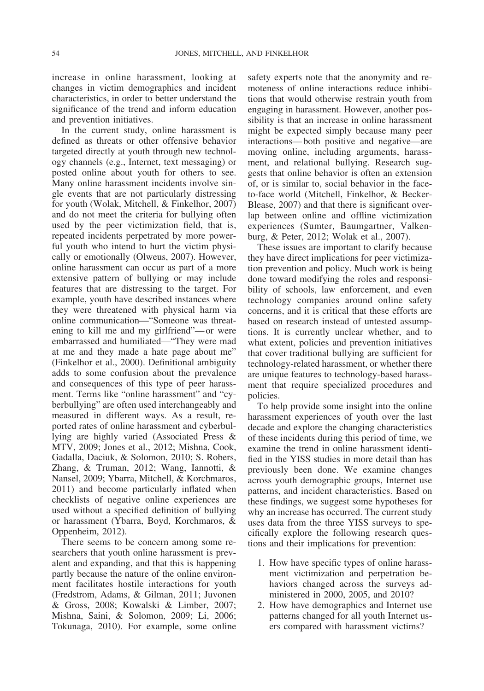increase in online harassment, looking at changes in victim demographics and incident characteristics, in order to better understand the significance of the trend and inform education and prevention initiatives.

In the current study, online harassment is defined as threats or other offensive behavior targeted directly at youth through new technology channels (e.g., Internet, text messaging) or posted online about youth for others to see. Many online harassment incidents involve single events that are not particularly distressing for youth [\(Wolak, Mitchell, & Finkelhor, 2007\)](#page-16-1) and do not meet the criteria for bullying often used by the peer victimization field, that is, repeated incidents perpetrated by more powerful youth who intend to hurt the victim physically or emotionally [\(Olweus, 2007\)](#page-16-2). However, online harassment can occur as part of a more extensive pattern of bullying or may include features that are distressing to the target. For example, youth have described instances where they were threatened with physical harm via online communication—"Someone was threatening to kill me and my girlfriend"—or were embarrassed and humiliated—"They were mad at me and they made a hate page about me" [\(Finkelhor et al., 2000\)](#page-15-0). Definitional ambiguity adds to some confusion about the prevalence and consequences of this type of peer harassment. Terms like "online harassment" and "cyberbullying" are often used interchangeably and measured in different ways. As a result, reported rates of online harassment and cyberbullying are highly varied [\(Associated Press &](#page-15-3) [MTV, 2009;](#page-15-3) [Jones et al., 2012;](#page-15-1) [Mishna, Cook,](#page-16-3) [Gadalla, Daciuk, & Solomon, 2010;](#page-16-3) S. [Robers,](#page-16-4) [Zhang, & Truman, 2012;](#page-16-4) [Wang, Iannotti, &](#page-16-5) [Nansel, 2009;](#page-16-5) [Ybarra, Mitchell, & Korchmaros,](#page-16-6) [2011\)](#page-16-6) and become particularly inflated when checklists of negative online experiences are used without a specified definition of bullying or harassment [\(Ybarra, Boyd, Korchmaros, &](#page-16-7) [Oppenheim, 2012\)](#page-16-7).

There seems to be concern among some researchers that youth online harassment is prevalent and expanding, and that this is happening partly because the nature of the online environment facilitates hostile interactions for youth [\(Fredstrom, Adams, & Gilman, 2011;](#page-15-4) [Juvonen](#page-15-5) [& Gross, 2008;](#page-15-5) [Kowalski & Limber, 2007;](#page-15-6) [Mishna, Saini, & Solomon, 2009;](#page-16-8) [Li, 2006;](#page-16-9) [Tokunaga, 2010\)](#page-16-10). For example, some online

safety experts note that the anonymity and remoteness of online interactions reduce inhibitions that would otherwise restrain youth from engaging in harassment. However, another possibility is that an increase in online harassment might be expected simply because many peer interactions—both positive and negative—are moving online, including arguments, harassment, and relational bullying. Research suggests that online behavior is often an extension of, or is similar to, social behavior in the faceto-face world [\(Mitchell, Finkelhor, & Becker-](#page-16-11)[Blease, 2007\)](#page-16-11) and that there is significant overlap between online and offline victimization experiences [\(Sumter, Baumgartner, Valken](#page-16-12)[burg, & Peter, 2012;](#page-16-12) [Wolak et al., 2007\)](#page-16-1).

These issues are important to clarify because they have direct implications for peer victimization prevention and policy. Much work is being done toward modifying the roles and responsibility of schools, law enforcement, and even technology companies around online safety concerns, and it is critical that these efforts are based on research instead of untested assumptions. It is currently unclear whether, and to what extent, policies and prevention initiatives that cover traditional bullying are sufficient for technology-related harassment, or whether there are unique features to technology-based harassment that require specialized procedures and policies.

To help provide some insight into the online harassment experiences of youth over the last decade and explore the changing characteristics of these incidents during this period of time, we examine the trend in online harassment identified in the YISS studies in more detail than has previously been done. We examine changes across youth demographic groups, Internet use patterns, and incident characteristics. Based on these findings, we suggest some hypotheses for why an increase has occurred. The current study uses data from the three YISS surveys to specifically explore the following research questions and their implications for prevention:

- 1. How have specific types of online harassment victimization and perpetration behaviors changed across the surveys administered in 2000, 2005, and 2010?
- 2. How have demographics and Internet use patterns changed for all youth Internet users compared with harassment victims?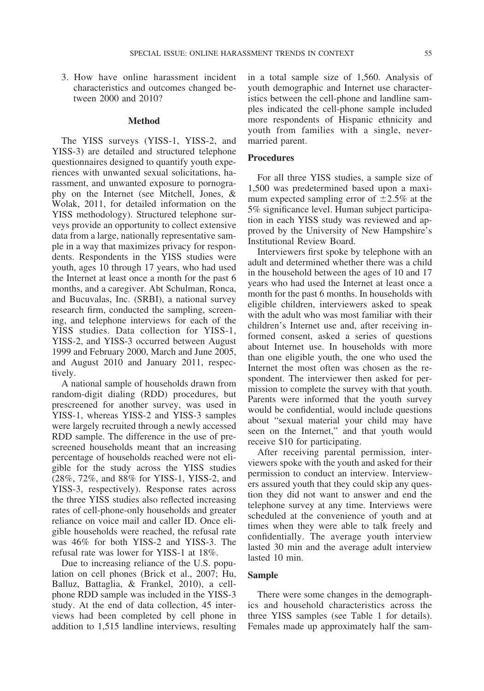3. How have online harassment incident characteristics and outcomes changed between 2000 and 2010?

#### **Method**

The YISS surveys (YISS-1, YISS-2, and YISS-3) are detailed and structured telephone questionnaires designed to quantify youth experiences with unwanted sexual solicitations, harassment, and unwanted exposure to pornography on the Internet (see [Mitchell, Jones, &](#page-16-13) [Wolak, 2011,](#page-16-13) for detailed information on the YISS methodology). Structured telephone surveys provide an opportunity to collect extensive data from a large, nationally representative sample in a way that maximizes privacy for respondents. Respondents in the YISS studies were youth, ages 10 through 17 years, who had used the Internet at least once a month for the past 6 months, and a caregiver. Abt Schulman, Ronca, and Bucuvalas, Inc. (SRBI), a national survey research firm, conducted the sampling, screening, and telephone interviews for each of the YISS studies. Data collection for YISS-1, YISS-2, and YISS-3 occurred between August 1999 and February 2000, March and June 2005, and August 2010 and January 2011, respectively.

A national sample of households drawn from random-digit dialing (RDD) procedures, but prescreened for another survey, was used in YISS-1, whereas YISS-2 and YISS-3 samples were largely recruited through a newly accessed RDD sample. The difference in the use of prescreened households meant that an increasing percentage of households reached were not eligible for the study across the YISS studies (28%, 72%, and 88% for YISS-1, YISS-2, and YISS-3, respectively). Response rates across the three YISS studies also reflected increasing rates of cell-phone-only households and greater reliance on voice mail and caller ID. Once eligible households were reached, the refusal rate was 46% for both YISS-2 and YISS-3. The refusal rate was lower for YISS-1 at 18%.

Due to increasing reliance of the U.S. population on cell phones [\(Brick et al., 2007;](#page-15-7) [Hu,](#page-15-8) [Balluz, Battaglia, & Frankel, 2010\)](#page-15-8), a cellphone RDD sample was included in the YISS-3 study. At the end of data collection, 45 interviews had been completed by cell phone in addition to 1,515 landline interviews, resulting in a total sample size of 1,560. Analysis of youth demographic and Internet use characteristics between the cell-phone and landline samples indicated the cell-phone sample included more respondents of Hispanic ethnicity and youth from families with a single, nevermarried parent.

## **Procedures**

For all three YISS studies, a sample size of 1,500 was predetermined based upon a maximum expected sampling error of  $\pm 2.5\%$  at the 5% significance level. Human subject participation in each YISS study was reviewed and approved by the University of New Hampshire's Institutional Review Board.

Interviewers first spoke by telephone with an adult and determined whether there was a child in the household between the ages of 10 and 17 years who had used the Internet at least once a month for the past 6 months. In households with eligible children, interviewers asked to speak with the adult who was most familiar with their children's Internet use and, after receiving informed consent, asked a series of questions about Internet use. In households with more than one eligible youth, the one who used the Internet the most often was chosen as the respondent. The interviewer then asked for permission to complete the survey with that youth. Parents were informed that the youth survey would be confidential, would include questions about "sexual material your child may have seen on the Internet," and that youth would receive \$10 for participating.

After receiving parental permission, interviewers spoke with the youth and asked for their permission to conduct an interview. Interviewers assured youth that they could skip any question they did not want to answer and end the telephone survey at any time. Interviews were scheduled at the convenience of youth and at times when they were able to talk freely and confidentially. The average youth interview lasted 30 min and the average adult interview lasted 10 min.

## **Sample**

There were some changes in the demographics and household characteristics across the three YISS samples (see [Table 1](#page-3-0) for details). Females made up approximately half the sam-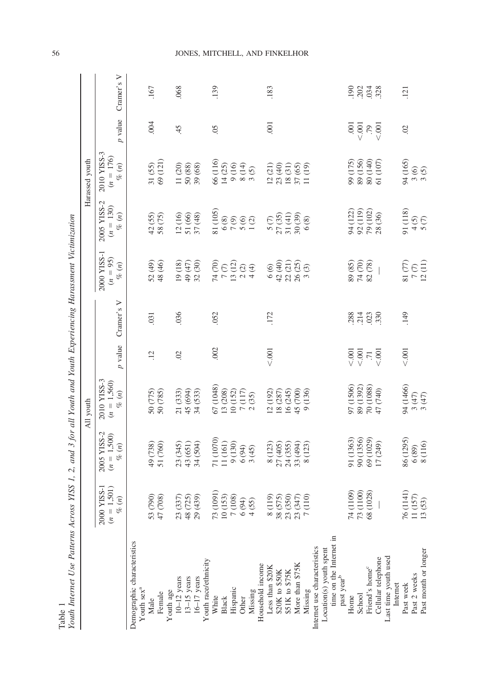<span id="page-3-0"></span>

| Youth Internet Use Patterns Across<br>Table           |                                                                                            | YISS 1, 2, and 3 for all Youth and Youth Experiencing Harassment Victimization |                                            |                 |                   |                                                                    |                                                                 |                                          |                  |            |
|-------------------------------------------------------|--------------------------------------------------------------------------------------------|--------------------------------------------------------------------------------|--------------------------------------------|-----------------|-------------------|--------------------------------------------------------------------|-----------------------------------------------------------------|------------------------------------------|------------------|------------|
|                                                       |                                                                                            |                                                                                | All youth                                  |                 |                   |                                                                    |                                                                 | Harassed youth                           |                  |            |
|                                                       | 2000 YISS-1<br>(105, 1)<br>$\tilde{u}$<br>$(n = 1)$<br>$\frac{\partial}{\partial \varphi}$ | 2005 YISS-2<br>$(n = 1,500)$<br>$\%$ $(n)$                                     | 2010 YISS-3<br>$(n = 1,560)$<br>$\%$ $(n)$ | $p$ value       | Cramer's V        | 2000 YISS-1<br>$(n = 95)$<br>$\%$ $(n)$                            | 2005 YISS-2<br>$(n = 130)$<br>$\%$ $(n)$                        | 2010 YISS-3<br>$(n = 176)$<br>$\%$ $(n)$ | $p$ value        | Cramer's V |
| Demographic characteristics<br>Youth sex <sup>a</sup> |                                                                                            |                                                                                |                                            |                 |                   |                                                                    |                                                                 |                                          |                  |            |
| Male                                                  | 53 (790)                                                                                   | 49 (738)                                                                       |                                            | $\overline{12}$ | .031              | 52 (49)                                                            |                                                                 | 31(55)                                   | 004              | 167        |
| Female                                                | 47 (708)                                                                                   | 51 (760)                                                                       | $50(775)$<br>$50(785)$                     |                 |                   | 48 (46)                                                            | $42(55)$<br>$58(75)$                                            | 69 (121)                                 |                  |            |
| Youth age                                             |                                                                                            |                                                                                |                                            |                 |                   |                                                                    |                                                                 |                                          |                  |            |
| $10-12$ years                                         | 23 (337)                                                                                   | 23 (345)                                                                       | 21 (333)                                   | 02              | 036               | 19(18)                                                             |                                                                 | $11(20)$                                 | 45               | .068       |
| $13-15$ years                                         | 48 (725)<br>29 (439)                                                                       | 43 (651)<br>34 (504)                                                           | $45(694)$<br>$34(533)$                     |                 |                   | $49(47)$<br>32 (30)                                                | $12(16)$<br>51(66)<br>37(48)                                    | $\frac{50\ (88)}{39\ (68)}$              |                  |            |
| $16-17$ years                                         |                                                                                            |                                                                                |                                            |                 |                   |                                                                    |                                                                 |                                          |                  |            |
| Youth race/ethnicity                                  |                                                                                            |                                                                                |                                            |                 |                   |                                                                    |                                                                 |                                          |                  |            |
| White                                                 | 73 (1091)                                                                                  | 71 (1070)                                                                      | 67 (1048)                                  | .002            | 052               | 74 (70)                                                            | 81 (105)                                                        | 66 (116)                                 | 0 <sup>5</sup>   | .139       |
| <b>Black</b>                                          |                                                                                            | 11 (161)                                                                       | 13 (208)                                   |                 |                   | $7(7)$                                                             | 6(8)                                                            | 14(25)                                   |                  |            |
| Hispanic                                              | $\frac{10}{7}\frac{(153)}{(108)}$                                                          | 9(130)                                                                         | 10 (152)                                   |                 |                   | 13(12)                                                             | 7(9)                                                            | 9(16)                                    |                  |            |
| Other                                                 | $6(94)$<br>4(55)                                                                           | 6(94)                                                                          | $7(117)$                                   |                 |                   | $2\ (2)$                                                           | $\begin{array}{c} 5 \ (\hbox{6}) \\ 1 \ (\hbox{2}) \end{array}$ | 8 (14)                                   |                  |            |
| Missing                                               |                                                                                            | 3(45)                                                                          | 2(35)                                      |                 |                   | 4(4)                                                               |                                                                 | $\odot$<br>$\infty$                      |                  |            |
| Household income                                      |                                                                                            |                                                                                |                                            |                 |                   |                                                                    |                                                                 |                                          |                  |            |
| Less than \$20K                                       |                                                                                            | 8 (123)                                                                        | 12 (192)                                   | < .001          | .172              | 6(6)                                                               |                                                                 | 12(21)                                   | $\overline{001}$ | .183       |
| \$20K to \$50K                                        | $\begin{array}{c} 8 \ (119) \\ 38 \ (575) \\ 23 \ (350) \end{array}$                       | 27 (405)                                                                       | 18 (287)                                   |                 |                   | 42 (40)                                                            | $\frac{5(7)}{27(35)}$                                           | 23(40)                                   |                  |            |
| \$51K to \$75K                                        |                                                                                            | 24 (355)                                                                       | 16 (245)                                   |                 |                   |                                                                    | 31(41)                                                          | 18(31)                                   |                  |            |
| More than \$75K                                       | $23(347)$<br>7(110)                                                                        | 33 (494)                                                                       | 45 (700)                                   |                 |                   | $22(21)$<br>$26(25)$                                               | 30(39)                                                          | 37 (65)                                  |                  |            |
| Missing                                               |                                                                                            | 8 (123)                                                                        | 9 (136)                                    |                 |                   | 3(3)                                                               | 6(8)                                                            | 11(19)                                   |                  |            |
| Internet use characteristics                          |                                                                                            |                                                                                |                                            |                 |                   |                                                                    |                                                                 |                                          |                  |            |
| Location(s) youth spent                               |                                                                                            |                                                                                |                                            |                 |                   |                                                                    |                                                                 |                                          |                  |            |
| time on the Internet in                               |                                                                                            |                                                                                |                                            |                 |                   |                                                                    |                                                                 |                                          |                  |            |
| past year <sup>b</sup><br>Home                        | 74 (1109)                                                                                  | 91 (1363)                                                                      | 97 (1506)                                  | < .001          |                   |                                                                    |                                                                 | 99 (175)                                 | .001             |            |
| School                                                | 73 (1100)                                                                                  | 90 (1356)                                                                      |                                            | $<\!\!.001$     | 288<br>214<br>223 | $\begin{array}{c} 89 & (85) \\ 74 & (70) \\ 82 & (78) \end{array}$ |                                                                 | 89 (156)                                 |                  |            |
| Friend's home <sup>c</sup>                            | 68 (1028)                                                                                  | 69 (1029)                                                                      | 89 (1392)<br>70 (1088)                     |                 |                   |                                                                    |                                                                 | 80 (140)                                 | $-0.001$         |            |
| Cellular telephone                                    |                                                                                            | 17 (249)                                                                       | 47 (740)                                   | $\frac{1}{200}$ | 330               |                                                                    | 94 (122)<br>92 (119)<br>79 (102)<br>28 (36)                     | 61 (107)                                 | $\leq 001$       | 30348      |
| Last time youth used                                  |                                                                                            |                                                                                |                                            |                 |                   |                                                                    |                                                                 |                                          |                  |            |
| Internet                                              |                                                                                            |                                                                                |                                            |                 |                   |                                                                    |                                                                 |                                          |                  |            |
| Past week                                             | $\begin{array}{c} 76 \ (1141) \\ 11 \ (157) \\ 13 \ (53) \end{array}$                      | 86 (1295)                                                                      | 94 (1466)                                  | < .001          | 149               | 81 (77)                                                            | 91 (118)                                                        | 94 (165)                                 | $\overline{0}$   | .121       |
| Past 2 weeks                                          |                                                                                            | $\frac{6(89)}{8(116)}$                                                         | $3(47)$<br>$3(47)$                         |                 |                   | $\begin{array}{c} 7\,(7)\\ 12\,(11) \end{array}$                   | $4\overline{6}$<br>5 (7)                                        | $3(6)$<br>3(5)                           |                  |            |
| Past month or longer                                  |                                                                                            |                                                                                |                                            |                 |                   |                                                                    |                                                                 |                                          |                  |            |

## 56 JONES, MITCHELL, AND FINKELHOR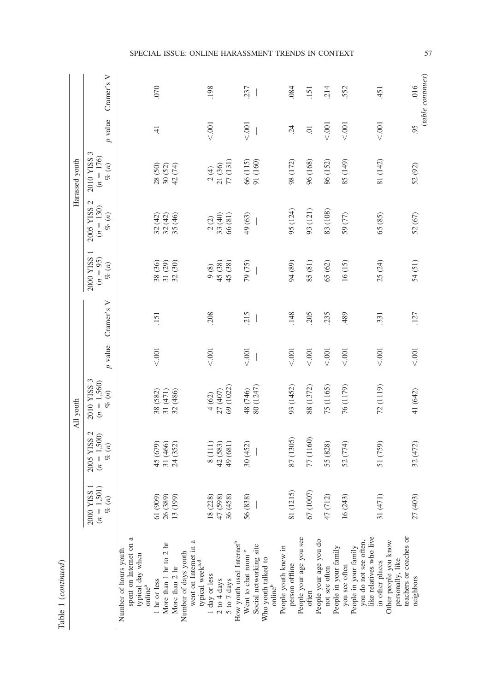|                                                                                            |                                       |                                            | All youth                                  |           |            |                                                                 |                                          | Harassed youth                                                  |                |                           |
|--------------------------------------------------------------------------------------------|---------------------------------------|--------------------------------------------|--------------------------------------------|-----------|------------|-----------------------------------------------------------------|------------------------------------------|-----------------------------------------------------------------|----------------|---------------------------|
|                                                                                            | 2000 YISS-1<br>$(n=1,501)$ $\%$ $(n)$ | 2005 YISS-2<br>$(n = 1,500)$<br>$\%$ $(n)$ | 2010 YISS-3<br>$(n = 1,560)$<br>$\%$ $(n)$ | $p$ value | Cramer's V | 2000 YISS-1<br>$(n = 95)$<br>$\%$ $(n)$                         | 2005 YISS-2<br>$(n = 130)$<br>$\%$ $(n)$ | 2010 YISS-3<br>$(n = 176)$<br>$\%$ $(n)$                        | $p$ value      | Cramer's V                |
| spent on Internet on a<br>Number of hours youth<br>typical day when<br>online <sup>a</sup> |                                       |                                            |                                            |           |            |                                                                 |                                          |                                                                 |                |                           |
| 1 hr or less                                                                               | 61 (909)                              | 45 (679)                                   | 38 (582)                                   | < .001    | .151       |                                                                 | 32 (42)                                  |                                                                 | $\overline{4}$ | 070                       |
| More than 1 hr to 2 hr<br>More than 2 hr                                                   | 26 (389)<br>13 (199)                  | 31 (466)<br>24 (352)                       | 32 (486)<br>31 (471)                       |           |            | $\begin{array}{c} 38\ (36) \\ 31\ (29) \\ 32\ (30) \end{array}$ | 35 (46)<br>32(42)                        | $\begin{array}{c} 28\ (50) \\ 30\ (52) \\ 42\ (74) \end{array}$ |                |                           |
| went on Internet in a<br>Number of days youth<br>typical week <sup>a,d</sup>               |                                       |                                            |                                            |           |            |                                                                 |                                          |                                                                 |                |                           |
| 1 day or less                                                                              | 18 (228)<br>47 (598)                  | 8(111)                                     | 4(62)                                      | < .001    | 208        | 9(8)                                                            | 2(2)                                     | 2(4)                                                            | 001            | 198                       |
| $2$ to $4$ days                                                                            |                                       | 42 (583)                                   | 27(407)                                    |           |            | 45 (38)                                                         | 33 (40)                                  | $\frac{21(36)}{77(131)}$                                        |                |                           |
| 5 to 7 days                                                                                | 36 (458)                              | 49 (681)                                   | 69 (1022)                                  |           |            | 45 (38)                                                         | 66(81)                                   |                                                                 |                |                           |
| How youth used Internet <sup>b</sup>                                                       |                                       |                                            |                                            |           |            |                                                                 |                                          |                                                                 |                |                           |
| Went to chat room <sup>e</sup>                                                             | 56 (838)                              | 30 (452)                                   | 48 (746)                                   | 001       | 215        | 79 (75)                                                         | 49 (63)                                  | 66 (115)                                                        | 001            | 237                       |
| Social networking site                                                                     |                                       |                                            | 80 (1247)                                  |           |            |                                                                 |                                          | 91 (160)                                                        |                |                           |
| Who youth talked to<br>onlineb                                                             |                                       |                                            |                                            |           |            |                                                                 |                                          |                                                                 |                |                           |
| People youth knew in                                                                       |                                       |                                            |                                            |           |            |                                                                 |                                          |                                                                 |                |                           |
| person offline                                                                             | 81 (1215)                             | 87 (1305)                                  | 93 (1452)                                  | 001       | .148       | 94 (89)                                                         | 95 (124)                                 | 98 (172)                                                        | $\ddot{c}$     | .084                      |
| People your age you see                                                                    |                                       |                                            |                                            |           |            |                                                                 |                                          |                                                                 |                |                           |
| often                                                                                      | 67 (1007)                             | 77 (1160)                                  | 88 (1372)                                  | 001       | 205        | 85(81)                                                          | 93 (121)                                 | 96 (168)                                                        | $\overline{0}$ | 151                       |
| People your age you do<br>not see often                                                    | $\Omega$<br>47 (71                    | 55 (828)                                   | 75 (1165)                                  | < .001    | 235        | 65 (62)                                                         | 83 (108)                                 | 86 (152)                                                        | 001            | 214                       |
| People in your family                                                                      |                                       | 52 (774)                                   |                                            | < .001    | 489        | 16(15)                                                          |                                          | 85 (149)                                                        | < .001         | 552                       |
| you do not see often,<br>People in your family<br>you see often                            | 16 (243)                              |                                            | 76 (1179)                                  |           |            |                                                                 | 59 (77)                                  |                                                                 |                |                           |
| like relatives who live                                                                    |                                       |                                            |                                            |           |            |                                                                 |                                          |                                                                 |                |                           |
| teachers or coaches or<br>Other people you know<br>personally, like<br>in other places     | 31 (471)                              | 51 (759)                                   | 72(1119)                                   | < 001     | 331        | 25 (24)                                                         | 65 (85)                                  | 81 (142)                                                        | $<001$         | 451                       |
| neighbors                                                                                  | 27 (403)                              | 32 (472)                                   | 41 (642)                                   | $<001$    | .127       | 54(51)                                                          | 52 (67)                                  | 52 (92)                                                         | 95             | (table continues)<br>.016 |

## SPECIAL ISSUE: ONLINE HARASSMENT TRENDS IN CONTEXT 57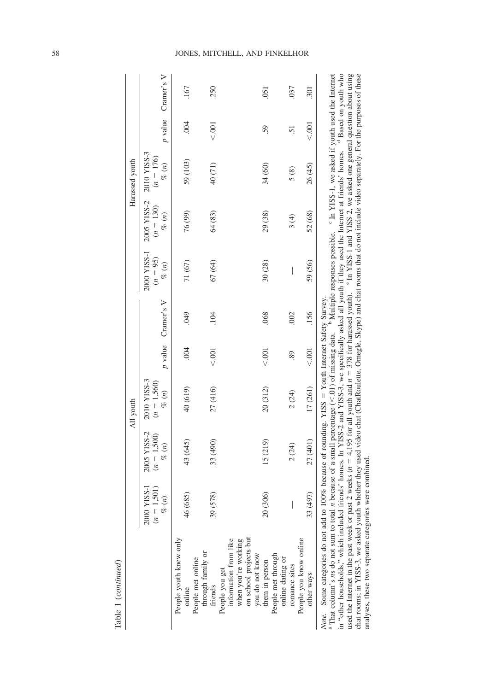| Table 1 (continued)                                                                                                                                                                                                                                                                                                                                                                                                                                                                                                                                                                                                                                                                                                                                                                                                                                                                                                                                           |                                                                  |                                            |                                            |           |            |                                         |                                          |                                          |           |            |
|---------------------------------------------------------------------------------------------------------------------------------------------------------------------------------------------------------------------------------------------------------------------------------------------------------------------------------------------------------------------------------------------------------------------------------------------------------------------------------------------------------------------------------------------------------------------------------------------------------------------------------------------------------------------------------------------------------------------------------------------------------------------------------------------------------------------------------------------------------------------------------------------------------------------------------------------------------------|------------------------------------------------------------------|--------------------------------------------|--------------------------------------------|-----------|------------|-----------------------------------------|------------------------------------------|------------------------------------------|-----------|------------|
|                                                                                                                                                                                                                                                                                                                                                                                                                                                                                                                                                                                                                                                                                                                                                                                                                                                                                                                                                               |                                                                  |                                            | All youth                                  |           |            |                                         |                                          | Harassed youth                           |           |            |
|                                                                                                                                                                                                                                                                                                                                                                                                                                                                                                                                                                                                                                                                                                                                                                                                                                                                                                                                                               | ISS-1<br>, 501)<br>$\overline{n}$<br>2000 Y<br>os (<br>$(n = 1)$ | 2005 YISS-2<br>$(n = 1,500)$<br>$\%$ $(n)$ | 2010 YISS-3<br>$(n = 1,560)$<br>$\%$ $(n)$ | $p$ value | Cramer's V | 2000 YISS-1<br>$(n = 95)$<br>$\%$ $(n)$ | 2005 YISS-2<br>$(n = 130)$<br>$\%$ $(n)$ | 2010 YISS-3<br>$(n = 176)$<br>$\%$ $(n)$ | $p$ value | Cramer's V |
| People youth knew only<br>online                                                                                                                                                                                                                                                                                                                                                                                                                                                                                                                                                                                                                                                                                                                                                                                                                                                                                                                              | 46 (685)                                                         | 43 (645)                                   | 40 (619)                                   | .004      | .049       | 71 (67)                                 | 76 (99)                                  | 59 (103)                                 | 004       | .167       |
| through family or<br>People met online<br>friends                                                                                                                                                                                                                                                                                                                                                                                                                                                                                                                                                                                                                                                                                                                                                                                                                                                                                                             | 39 (578)                                                         | 33 (490)                                   | 27 (416)                                   | < 0.001   | 104        | 67 (64)                                 | 64 (83)                                  | 40(71)                                   | < 001     | 250        |
| on school projects but<br>information from like<br>when you're working<br>People you get                                                                                                                                                                                                                                                                                                                                                                                                                                                                                                                                                                                                                                                                                                                                                                                                                                                                      |                                                                  |                                            |                                            |           |            |                                         |                                          |                                          |           |            |
| you do not know<br>People met through<br>them in person                                                                                                                                                                                                                                                                                                                                                                                                                                                                                                                                                                                                                                                                                                                                                                                                                                                                                                       | 20 (306)                                                         | 15 (219)                                   | 20 (312)                                   | $<001$    | .068       | 30 (28)                                 | 29 (38)                                  | 34 (60)                                  | 59        | .051       |
| online dating or<br>romance sites                                                                                                                                                                                                                                                                                                                                                                                                                                                                                                                                                                                                                                                                                                                                                                                                                                                                                                                             |                                                                  | 2(24)                                      | 2(24)                                      | 89        | .002       | $\begin{array}{c} \hline \end{array}$   | 3(4)                                     | 5(8)                                     | 51        | 037        |
| People you know online<br>other ways                                                                                                                                                                                                                                                                                                                                                                                                                                                                                                                                                                                                                                                                                                                                                                                                                                                                                                                          | 33 (497)                                                         | 27 (401)                                   | 17 (261)                                   | $<001$    | .156       | 59 (56)                                 | 52 (68)                                  | 26 (45)                                  | $<001$    | 301        |
| in "other households," which included friends' homes. In YISS-2 and YISS-3, we specifically asked all youth if they used the Internet at friends' homes. "Based on youth who<br>used the Internet in the past week or past 2 weeks $(n = 4.195$ for all youth and $n = 378$ for harassed youth). $\degree$ In YISS-1 and YISS-2, we asked one general question about using<br>chat rooms; in YISS-3, we asked youth whether they used video chat (ChatRoulette, Omegle, Skype) and chat rooms that do not include video separately. For the purposes of these<br><sup>a</sup> That column's <i>ns</i> do not sum to total <i>n</i> because of a small percentage (<.01) of missing data. <sup>b</sup> Multiple responses possible. <sup>o</sup> In YISS-1, we asked if youth used the Internet<br>Note. Some categories do not add to 100% because of rounding. YISS = Youth Internet Safety Survey.<br>analyses, these two separate categories were combined |                                                                  |                                            |                                            |           |            |                                         |                                          |                                          |           |            |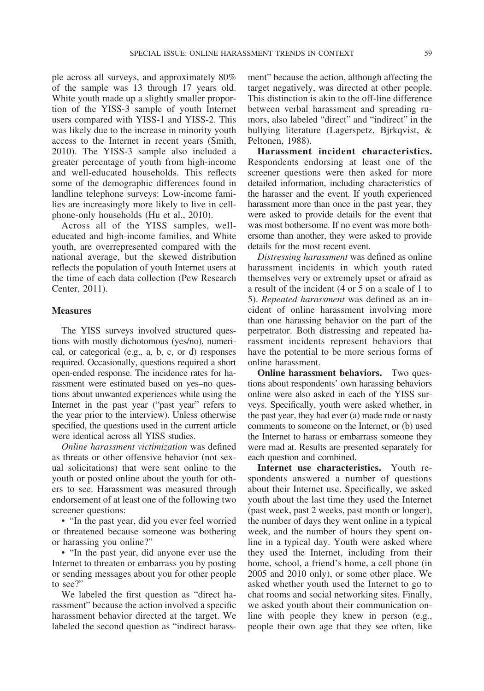ple across all surveys, and approximately 80% of the sample was 13 through 17 years old. White youth made up a slightly smaller proportion of the YISS-3 sample of youth Internet users compared with YISS-1 and YISS-2. This was likely due to the increase in minority youth access to the Internet in recent years [\(Smith,](#page-16-14) [2010\)](#page-16-14). The YISS-3 sample also included a greater percentage of youth from high-income and well-educated households. This reflects some of the demographic differences found in landline telephone surveys: Low-income families are increasingly more likely to live in cellphone-only households [\(Hu et al., 2010\)](#page-15-8).

Across all of the YISS samples, welleducated and high-income families, and White youth, are overrepresented compared with the national average, but the skewed distribution reflects the population of youth Internet users at the time of each data collection [\(Pew Research](#page-16-15) [Center, 2011\)](#page-16-15).

## **Measures**

The YISS surveys involved structured questions with mostly dichotomous (yes/no), numerical, or categorical (e.g., a, b, c, or d) responses required. Occasionally, questions required a short open-ended response. The incidence rates for harassment were estimated based on yes–no questions about unwanted experiences while using the Internet in the past year ("past year" refers to the year prior to the interview). Unless otherwise specified, the questions used in the current article were identical across all YISS studies.

*Online harassment victimization* was defined as threats or other offensive behavior (not sexual solicitations) that were sent online to the youth or posted online about the youth for others to see. Harassment was measured through endorsement of at least one of the following two screener questions:

• "In the past year, did you ever feel worried or threatened because someone was bothering or harassing you online?"

• "In the past year, did anyone ever use the Internet to threaten or embarrass you by posting or sending messages about you for other people to see?"

We labeled the first question as "direct harassment" because the action involved a specific harassment behavior directed at the target. We labeled the second question as "indirect harassment" because the action, although affecting the target negatively, was directed at other people. This distinction is akin to the off-line difference between verbal harassment and spreading rumors, also labeled "direct" and "indirect" in the bullying literature [\(Lagerspetz, Bjrkqvist, &](#page-15-9) [Peltonen, 1988\)](#page-15-9).

**Harassment incident characteristics.** Respondents endorsing at least one of the screener questions were then asked for more detailed information, including characteristics of the harasser and the event. If youth experienced harassment more than once in the past year, they were asked to provide details for the event that was most bothersome. If no event was more bothersome than another, they were asked to provide details for the most recent event.

*Distressing harassment* was defined as online harassment incidents in which youth rated themselves very or extremely upset or afraid as a result of the incident (4 or 5 on a scale of 1 to 5). *Repeated harassment* was defined as an incident of online harassment involving more than one harassing behavior on the part of the perpetrator. Both distressing and repeated harassment incidents represent behaviors that have the potential to be more serious forms of online harassment.

**Online harassment behaviors.** Two questions about respondents' own harassing behaviors online were also asked in each of the YISS surveys. Specifically, youth were asked whether, in the past year, they had ever (a) made rude or nasty comments to someone on the Internet, or (b) used the Internet to harass or embarrass someone they were mad at. Results are presented separately for each question and combined.

**Internet use characteristics.** Youth respondents answered a number of questions about their Internet use. Specifically, we asked youth about the last time they used the Internet (past week, past 2 weeks, past month or longer), the number of days they went online in a typical week, and the number of hours they spent online in a typical day. Youth were asked where they used the Internet, including from their home, school, a friend's home, a cell phone (in 2005 and 2010 only), or some other place. We asked whether youth used the Internet to go to chat rooms and social networking sites. Finally, we asked youth about their communication online with people they knew in person (e.g., people their own age that they see often, like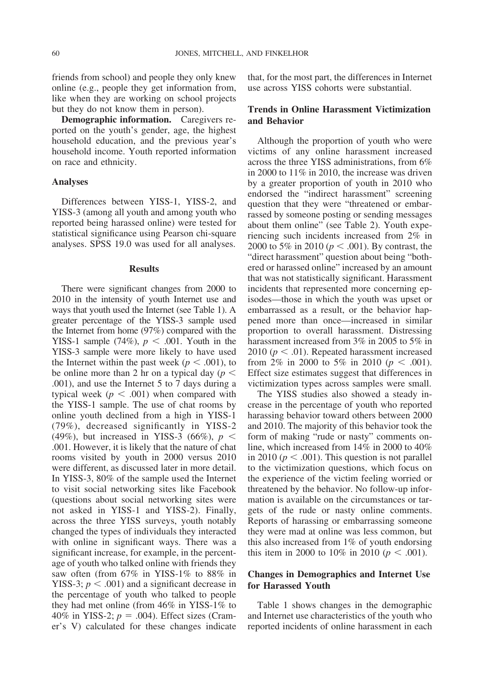friends from school) and people they only knew online (e.g., people they get information from, like when they are working on school projects but they do not know them in person).

**Demographic information.** Caregivers reported on the youth's gender, age, the highest household education, and the previous year's household income. Youth reported information on race and ethnicity.

## **Analyses**

Differences between YISS-1, YISS-2, and YISS-3 (among all youth and among youth who reported being harassed online) were tested for statistical significance using Pearson chi-square analyses. SPSS 19.0 was used for all analyses.

#### **Results**

There were significant changes from 2000 to 2010 in the intensity of youth Internet use and ways that youth used the Internet (see [Table 1\)](#page-3-0). A greater percentage of the YISS-3 sample used the Internet from home (97%) compared with the YISS-1 sample (74%),  $p < .001$ . Youth in the YISS-3 sample were more likely to have used the Internet within the past week ( $p < .001$ ), to be online more than 2 hr on a typical day  $(p <$ .001), and use the Internet 5 to 7 days during a typical week ( $p < .001$ ) when compared with the YISS-1 sample. The use of chat rooms by online youth declined from a high in YISS-1 (79%), decreased significantly in YISS-2 (49%), but increased in YISS-3 (66%), *p* .001. However, it is likely that the nature of chat rooms visited by youth in 2000 versus 2010 were different, as discussed later in more detail. In YISS-3, 80% of the sample used the Internet to visit social networking sites like Facebook (questions about social networking sites were not asked in YISS-1 and YISS-2). Finally, across the three YISS surveys, youth notably changed the types of individuals they interacted with online in significant ways. There was a significant increase, for example, in the percentage of youth who talked online with friends they saw often (from 67% in YISS-1% to 88% in YISS-3;  $p < .001$ ) and a significant decrease in the percentage of youth who talked to people they had met online (from 46% in YISS-1% to 40% in YISS-2;  $p = .004$ ). Effect sizes (Cramer's V) calculated for these changes indicate

that, for the most part, the differences in Internet use across YISS cohorts were substantial.

## **Trends in Online Harassment Victimization and Behavior**

Although the proportion of youth who were victims of any online harassment increased across the three YISS administrations, from 6% in 2000 to 11% in 2010, the increase was driven by a greater proportion of youth in 2010 who endorsed the "indirect harassment" screening question that they were "threatened or embarrassed by someone posting or sending messages about them online" (see [Table 2\)](#page-8-0). Youth experiencing such incidents increased from 2% in 2000 to 5% in 2010 ( $p < .001$ ). By contrast, the "direct harassment" question about being "bothered or harassed online" increased by an amount that was not statistically significant. Harassment incidents that represented more concerning episodes—those in which the youth was upset or embarrassed as a result, or the behavior happened more than once—increased in similar proportion to overall harassment. Distressing harassment increased from 3% in 2005 to 5% in  $2010 (p < .01)$ . Repeated harassment increased from 2% in 2000 to 5% in 2010 ( $p < .001$ ). Effect size estimates suggest that differences in victimization types across samples were small.

The YISS studies also showed a steady increase in the percentage of youth who reported harassing behavior toward others between 2000 and 2010. The majority of this behavior took the form of making "rude or nasty" comments online, which increased from 14% in 2000 to 40% in 2010 ( $p < .001$ ). This question is not parallel to the victimization questions, which focus on the experience of the victim feeling worried or threatened by the behavior. No follow-up information is available on the circumstances or targets of the rude or nasty online comments. Reports of harassing or embarrassing someone they were mad at online was less common, but this also increased from 1% of youth endorsing this item in 2000 to 10% in 2010 ( $p < .001$ ).

## **Changes in Demographics and Internet Use for Harassed Youth**

Table 1 shows changes in the demographic and Internet use characteristics of the youth who reported incidents of online harassment in each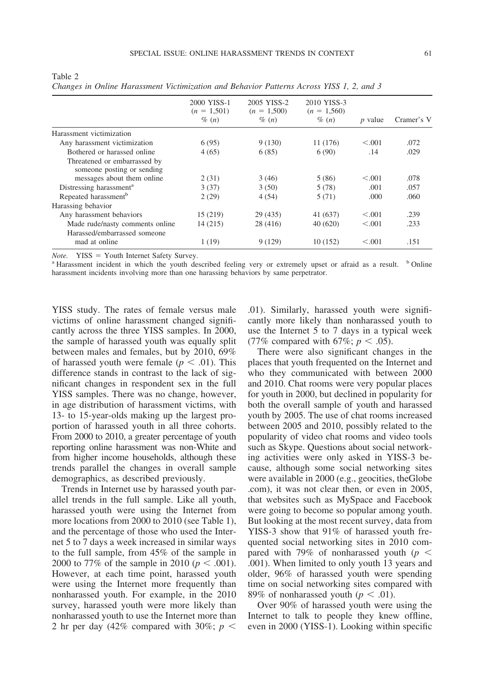<span id="page-8-0"></span>

*Changes in Online Harassment Victimization and Behavior Patterns Across YISS 1, 2, and 3*

|                                                            | 2000 YISS-1<br>$(n = 1.501)$<br>$\%$ $(n)$ | 2005 YISS-2<br>$(n = 1.500)$<br>$\%$ $(n)$ | 2010 YISS-3<br>$(n = 1.560)$<br>$\%$ $(n)$ | <i>p</i> value | Cramer's V |
|------------------------------------------------------------|--------------------------------------------|--------------------------------------------|--------------------------------------------|----------------|------------|
| Harassment victimization                                   |                                            |                                            |                                            |                |            |
| Any harassment victimization                               | 6(95)                                      | 9(130)                                     | 11 (176)                                   | < 0.001        | .072       |
| Bothered or harassed online                                | 4(65)                                      | 6(85)                                      | 6(90)                                      | .14            | .029       |
| Threatened or embarrassed by<br>someone posting or sending |                                            |                                            |                                            |                |            |
| messages about them online                                 | 2(31)                                      | 3(46)                                      | 5(86)                                      | < 0.001        | .078       |
| Distressing harassment <sup>a</sup>                        | 3(37)                                      | 3(50)                                      | 5(78)                                      | .001           | .057       |
| Repeated harassment <sup>b</sup>                           | 2(29)                                      | 4(54)                                      | 5(71)                                      | .000           | .060       |
| Harassing behavior                                         |                                            |                                            |                                            |                |            |
| Any harassment behaviors                                   | 15 (219)                                   | 29 (435)                                   | 41 (637)                                   | < 0.001        | .239       |
| Made rude/nasty comments online                            | 14(215)                                    | 28 (416)                                   | 40(620)                                    | < 0.001        | .233       |
| Harassed/embarrassed someone                               |                                            |                                            |                                            |                |            |
| mad at online                                              | 1(19)                                      | 9(129)                                     | 10 (152)                                   | < 0.01         | .151       |

*Note.* YISS = Youth Internet Safety Survey.<br><sup>a</sup> Harassment incident in which the youth described feeling very or extremely upset or afraid as a result. <sup>b</sup> Online harassment incidents involving more than one harassing behaviors by same perpetrator.

YISS study. The rates of female versus male victims of online harassment changed significantly across the three YISS samples. In 2000, the sample of harassed youth was equally split between males and females, but by 2010, 69% of harassed youth were female ( $p < .01$ ). This difference stands in contrast to the lack of significant changes in respondent sex in the full YISS samples. There was no change, however, in age distribution of harassment victims, with 13- to 15-year-olds making up the largest proportion of harassed youth in all three cohorts. From 2000 to 2010, a greater percentage of youth reporting online harassment was non-White and from higher income households, although these trends parallel the changes in overall sample demographics, as described previously.

Trends in Internet use by harassed youth parallel trends in the full sample. Like all youth, harassed youth were using the Internet from more locations from 2000 to 2010 (see [Table 1\)](#page-3-0), and the percentage of those who used the Internet 5 to 7 days a week increased in similar ways to the full sample, from 45% of the sample in 2000 to 77% of the sample in 2010 ( $p < .001$ ). However, at each time point, harassed youth were using the Internet more frequently than nonharassed youth. For example, in the 2010 survey, harassed youth were more likely than nonharassed youth to use the Internet more than 2 hr per day  $(42\%$  compared with 30%;  $p <$ 

.01). Similarly, harassed youth were significantly more likely than nonharassed youth to use the Internet 5 to 7 days in a typical week (77% compared with 67%;  $p < .05$ ).

There were also significant changes in the places that youth frequented on the Internet and who they communicated with between 2000 and 2010. Chat rooms were very popular places for youth in 2000, but declined in popularity for both the overall sample of youth and harassed youth by 2005. The use of chat rooms increased between 2005 and 2010, possibly related to the popularity of video chat rooms and video tools such as Skype. Questions about social networking activities were only asked in YISS-3 because, although some social networking sites were available in 2000 (e.g., geocities, theGlobe .com), it was not clear then, or even in 2005, that websites such as MySpace and Facebook were going to become so popular among youth. But looking at the most recent survey, data from YISS-3 show that 91% of harassed youth frequented social networking sites in 2010 compared with 79% of nonharassed youth (*p* .001). When limited to only youth 13 years and older, 96% of harassed youth were spending time on social networking sites compared with 89% of nonharassed youth  $(p < .01)$ .

Over 90% of harassed youth were using the Internet to talk to people they knew offline, even in 2000 (YISS-1). Looking within specific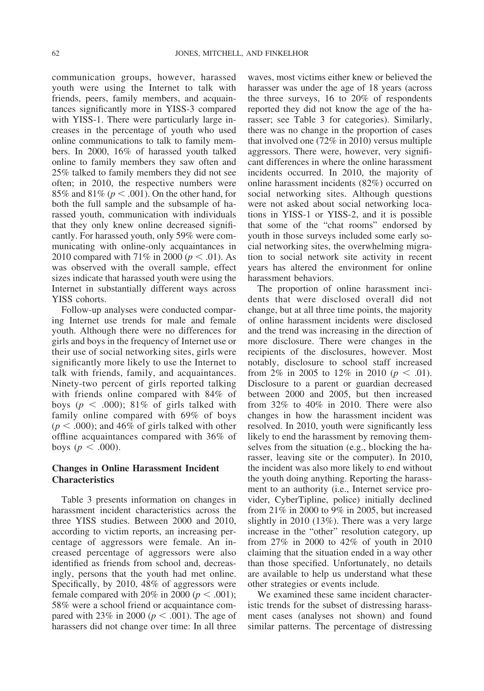communication groups, however, harassed youth were using the Internet to talk with friends, peers, family members, and acquaintances significantly more in YISS-3 compared with YISS-1. There were particularly large increases in the percentage of youth who used online communications to talk to family members. In 2000, 16% of harassed youth talked online to family members they saw often and 25% talked to family members they did not see often; in 2010, the respective numbers were 85% and 81% ( $p < .001$ ). On the other hand, for both the full sample and the subsample of harassed youth, communication with individuals that they only knew online decreased significantly. For harassed youth, only 59% were communicating with online-only acquaintances in 2010 compared with 71% in 2000 ( $p < .01$ ). As was observed with the overall sample, effect sizes indicate that harassed youth were using the Internet in substantially different ways across YISS cohorts.

Follow-up analyses were conducted comparing Internet use trends for male and female youth. Although there were no differences for girls and boys in the frequency of Internet use or their use of social networking sites, girls were significantly more likely to use the Internet to talk with friends, family, and acquaintances. Ninety-two percent of girls reported talking with friends online compared with 84% of boys ( $p < .000$ ); 81% of girls talked with family online compared with 69% of boys  $(p < .000)$ ; and 46% of girls talked with other offline acquaintances compared with 36% of boys ( $p < .000$ ).

## **Changes in Online Harassment Incident Characteristics**

[Table 3](#page-10-0) presents information on changes in harassment incident characteristics across the three YISS studies. Between 2000 and 2010, according to victim reports, an increasing percentage of aggressors were female. An increased percentage of aggressors were also identified as friends from school and, decreasingly, persons that the youth had met online. Specifically, by 2010, 48% of aggressors were female compared with 20% in 2000 ( $p < .001$ ); 58% were a school friend or acquaintance compared with 23% in 2000 ( $p < .001$ ). The age of harassers did not change over time: In all three

waves, most victims either knew or believed the harasser was under the age of 18 years (across the three surveys, 16 to 20% of respondents reported they did not know the age of the harasser; see [Table 3](#page-10-0) for categories). Similarly, there was no change in the proportion of cases that involved one (72% in 2010) versus multiple aggressors. There were, however, very significant differences in where the online harassment incidents occurred. In 2010, the majority of online harassment incidents (82%) occurred on social networking sites. Although questions were not asked about social networking locations in YISS-1 or YISS-2, and it is possible that some of the "chat rooms" endorsed by youth in those surveys included some early social networking sites, the overwhelming migration to social network site activity in recent years has altered the environment for online harassment behaviors.

The proportion of online harassment incidents that were disclosed overall did not change, but at all three time points, the majority of online harassment incidents were disclosed and the trend was increasing in the direction of more disclosure. There were changes in the recipients of the disclosures, however. Most notably, disclosure to school staff increased from 2% in 2005 to 12% in 2010 ( $p < .01$ ). Disclosure to a parent or guardian decreased between 2000 and 2005, but then increased from 32% to 40% in 2010. There were also changes in how the harassment incident was resolved. In 2010, youth were significantly less likely to end the harassment by removing themselves from the situation (e.g., blocking the harasser, leaving site or the computer). In 2010, the incident was also more likely to end without the youth doing anything. Reporting the harassment to an authority (i.e., Internet service provider, CyberTipline, police) initially declined from 21% in 2000 to 9% in 2005, but increased slightly in 2010 (13%). There was a very large increase in the "other" resolution category, up from 27% in 2000 to 42% of youth in 2010 claiming that the situation ended in a way other than those specified. Unfortunately, no details are available to help us understand what these other strategies or events include.

We examined these same incident characteristic trends for the subset of distressing harassment cases (analyses not shown) and found similar patterns. The percentage of distressing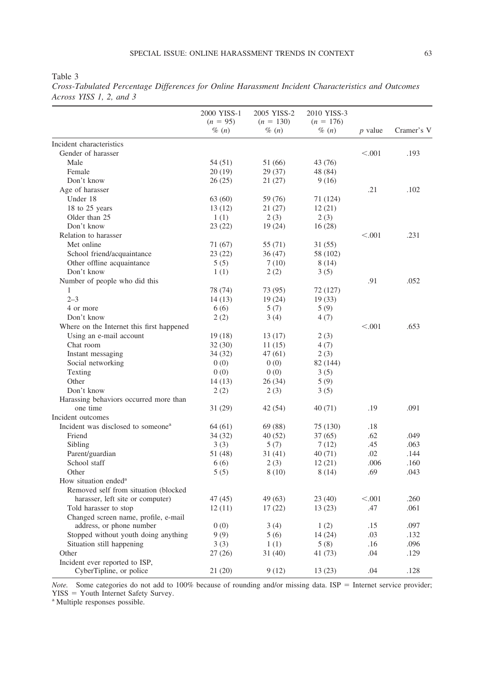<span id="page-10-0"></span>Table 3

|                                                | 2000 YISS-1 | 2005 YISS-2 | 2010 YISS-3 |           |            |
|------------------------------------------------|-------------|-------------|-------------|-----------|------------|
|                                                | $(n = 95)$  | $(n = 130)$ | $(n = 176)$ |           |            |
|                                                | $\%$ $(n)$  | $\%$ $(n)$  | $\%$ $(n)$  | $p$ value | Cramer's V |
| Incident characteristics                       |             |             |             |           |            |
| Gender of harasser                             |             |             |             | < 0.001   | .193       |
| Male                                           | 54 (51)     | 51 (66)     | 43 (76)     |           |            |
| Female                                         | 20(19)      | 29(37)      | 48 (84)     |           |            |
| Don't know                                     | 26(25)      | 21(27)      | 9(16)       |           |            |
| Age of harasser                                |             |             |             | .21       | .102       |
| Under 18                                       | 63(60)      | 59 (76)     | 71 (124)    |           |            |
| 18 to 25 years                                 | 13(12)      | 21(27)      | 12(21)      |           |            |
| Older than 25                                  | 1(1)        | 2(3)        | 2(3)        |           |            |
| Don't know                                     | 23(22)      | 19 (24)     | 16(28)      |           |            |
| Relation to harasser                           |             |             |             | < 0.001   | .231       |
| Met online                                     | 71 (67)     | 55 (71)     | 31(55)      |           |            |
| School friend/acquaintance                     | 23(22)      | 36(47)      | 58 (102)    |           |            |
| Other offline acquaintance                     | 5(5)        | 7(10)       | 8 (14)      |           |            |
| Don't know                                     | 1(1)        | 2(2)        | 3(5)        |           |            |
| Number of people who did this                  |             |             |             | .91       | .052       |
| 1                                              | 78 (74)     | 73 (95)     | 72 (127)    |           |            |
| $2 - 3$                                        | 14(13)      | 19(24)      | 19(33)      |           |            |
| 4 or more                                      | 6(6)        | 5(7)        | 5(9)        |           |            |
| Don't know                                     | 2(2)        | 3(4)        | 4(7)        |           |            |
| Where on the Internet this first happened      |             |             |             | < 0.001   | .653       |
| Using an e-mail account                        | 19(18)      | 13 (17)     | 2(3)        |           |            |
| Chat room                                      | 32(30)      | 11(15)      | 4(7)        |           |            |
| Instant messaging                              | 34(32)      | 47 (61)     | 2(3)        |           |            |
| Social networking                              | 0(0)        | 0(0)        | 82 (144)    |           |            |
| Texting                                        | 0(0)        | 0(0)        | 3(5)        |           |            |
| Other                                          | 14(13)      | 26(34)      | 5(9)        |           |            |
| Don't know                                     | 2(2)        | 2(3)        | 3(5)        |           |            |
| Harassing behaviors occurred more than         |             |             |             |           |            |
| one time                                       | 31(29)      | 42 (54)     | 40 (71)     | .19       | .091       |
| Incident outcomes                              |             |             |             |           |            |
| Incident was disclosed to someone <sup>a</sup> | 64(61)      | 69 (88)     | 75 (130)    | .18       |            |
| Friend                                         | 34 (32)     | 40 (52)     | 37 (65)     | .62       | .049       |
| Sibling                                        | 3(3)        | 5(7)        | 7(12)       | .45       | .063       |
| Parent/guardian                                | 51 (48)     | 31(41)      | 40 (71)     | .02       | .144       |
| School staff                                   | 6(6)        | 2(3)        | 12(21)      | .006      | .160       |
| Other                                          | 5(5)        | 8(10)       | 8(14)       | .69       | .043       |
| How situation ended <sup>a</sup>               |             |             |             |           |            |
| Removed self from situation (blocked           |             |             |             |           |            |
| harasser, left site or computer)               | 47 (45)     | 49 (63)     | 23(40)      | < 0.001   | .260       |
| Told harasser to stop                          | 12(11)      | 17(22)      | 13(23)      | .47       | .061       |
| Changed screen name, profile, e-mail           |             |             |             |           |            |
| address, or phone number                       | 0(0)        | 3(4)        | 1(2)        | .15       | .097       |
| Stopped without youth doing anything           | 9(9)        | 5(6)        | 14 (24)     | .03       | .132       |
| Situation still happening                      | 3(3)        | 1(1)        | 5(8)        | .16       | .096       |
| Other                                          | 27(26)      | 31 (40)     | 41 (73)     | .04       | .129       |
| Incident ever reported to ISP,                 |             |             |             |           |            |
| CyberTipline, or police                        | 21 (20)     | 9(12)       | 13(23)      | .04       | .128       |

*Cross-Tabulated Percentage Differences for Online Harassment Incident Characteristics and Outcomes Across YISS 1, 2, and 3*

*Note.* Some categories do not add to 100% because of rounding and/or missing data. ISP = Internet service provider; YISS = Youth Internet Safety Survey.<br><sup>a</sup> Multiple responses possible.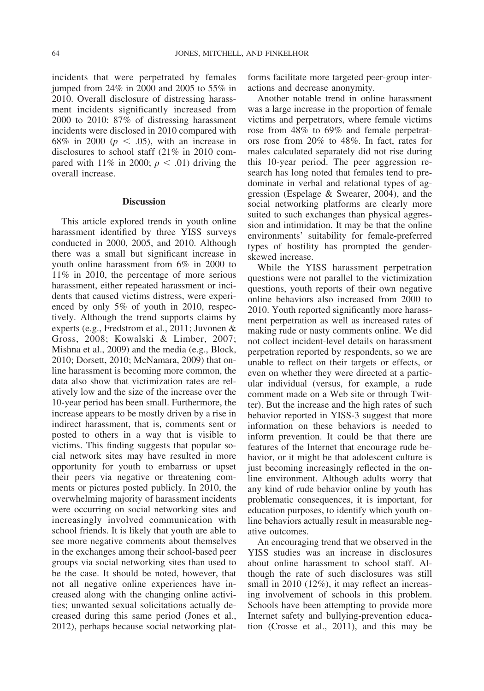incidents that were perpetrated by females jumped from 24% in 2000 and 2005 to 55% in 2010. Overall disclosure of distressing harassment incidents significantly increased from 2000 to 2010: 87% of distressing harassment incidents were disclosed in 2010 compared with 68% in 2000 ( $p < .05$ ), with an increase in disclosures to school staff (21% in 2010 compared with 11% in 2000;  $p < .01$ ) driving the overall increase.

#### **Discussion**

This article explored trends in youth online harassment identified by three YISS surveys conducted in 2000, 2005, and 2010. Although there was a small but significant increase in youth online harassment from 6% in 2000 to 11% in 2010, the percentage of more serious harassment, either repeated harassment or incidents that caused victims distress, were experienced by only 5% of youth in 2010, respectively. Although the trend supports claims by experts (e.g., [Fredstrom et al., 2011;](#page-15-4) [Juvonen &](#page-15-5) [Gross, 2008;](#page-15-5) [Kowalski & Limber, 2007;](#page-15-6) [Mishna et al., 2009\)](#page-16-8) and the media (e.g., [Block,](#page-15-10) [2010;](#page-15-10) [Dorsett, 2010;](#page-15-11) [McNamara, 2009\)](#page-16-16) that online harassment is becoming more common, the data also show that victimization rates are relatively low and the size of the increase over the 10-year period has been small. Furthermore, the increase appears to be mostly driven by a rise in indirect harassment, that is, comments sent or posted to others in a way that is visible to victims. This finding suggests that popular social network sites may have resulted in more opportunity for youth to embarrass or upset their peers via negative or threatening comments or pictures posted publicly. In 2010, the overwhelming majority of harassment incidents were occurring on social networking sites and increasingly involved communication with school friends. It is likely that youth are able to see more negative comments about themselves in the exchanges among their school-based peer groups via social networking sites than used to be the case. It should be noted, however, that not all negative online experiences have increased along with the changing online activities; unwanted sexual solicitations actually decreased during this same period [\(Jones et al.,](#page-15-1) [2012\)](#page-15-1), perhaps because social networking plat-

forms facilitate more targeted peer-group interactions and decrease anonymity.

Another notable trend in online harassment was a large increase in the proportion of female victims and perpetrators, where female victims rose from 48% to 69% and female perpetrators rose from 20% to 48%. In fact, rates for males calculated separately did not rise during this 10-year period. The peer aggression research has long noted that females tend to predominate in verbal and relational types of aggression [\(Espelage & Swearer, 2004\)](#page-15-12), and the social networking platforms are clearly more suited to such exchanges than physical aggression and intimidation. It may be that the online environments' suitability for female-preferred types of hostility has prompted the genderskewed increase.

While the YISS harassment perpetration questions were not parallel to the victimization questions, youth reports of their own negative online behaviors also increased from 2000 to 2010. Youth reported significantly more harassment perpetration as well as increased rates of making rude or nasty comments online. We did not collect incident-level details on harassment perpetration reported by respondents, so we are unable to reflect on their targets or effects, or even on whether they were directed at a particular individual (versus, for example, a rude comment made on a Web site or through Twitter). But the increase and the high rates of such behavior reported in YISS-3 suggest that more information on these behaviors is needed to inform prevention. It could be that there are features of the Internet that encourage rude behavior, or it might be that adolescent culture is just becoming increasingly reflected in the online environment. Although adults worry that any kind of rude behavior online by youth has problematic consequences, it is important, for education purposes, to identify which youth online behaviors actually result in measurable negative outcomes.

An encouraging trend that we observed in the YISS studies was an increase in disclosures about online harassment to school staff. Although the rate of such disclosures was still small in 2010 (12%), it may reflect an increasing involvement of schools in this problem. Schools have been attempting to provide more Internet safety and bullying-prevention education [\(Crosse et al., 2011\)](#page-15-13), and this may be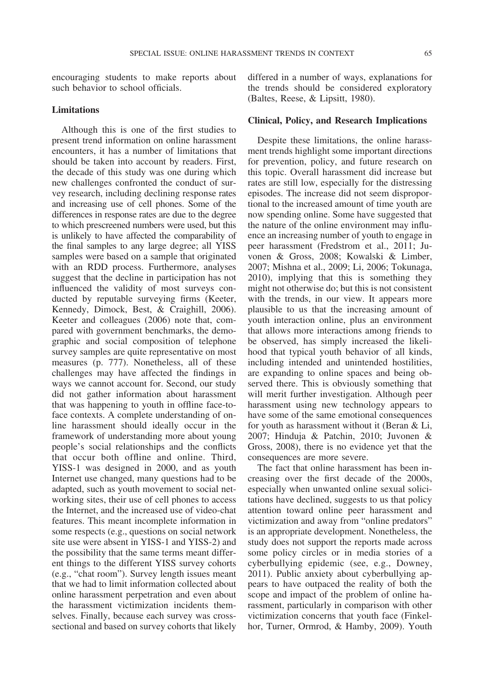encouraging students to make reports about such behavior to school officials.

### **Limitations**

Although this is one of the first studies to present trend information on online harassment encounters, it has a number of limitations that should be taken into account by readers. First, the decade of this study was one during which new challenges confronted the conduct of survey research, including declining response rates and increasing use of cell phones. Some of the differences in response rates are due to the degree to which prescreened numbers were used, but this is unlikely to have affected the comparability of the final samples to any large degree; all YISS samples were based on a sample that originated with an RDD process. Furthermore, analyses suggest that the decline in participation has not influenced the validity of most surveys conducted by reputable surveying firms [\(Keeter,](#page-15-14) [Kennedy, Dimock, Best, & Craighill, 2006\)](#page-15-14). [Keeter and colleagues \(2006\)](#page-15-14) note that, compared with government benchmarks, the demographic and social composition of telephone survey samples are quite representative on most measures (p. 777). Nonetheless, all of these challenges may have affected the findings in ways we cannot account for. Second, our study did not gather information about harassment that was happening to youth in offline face-toface contexts. A complete understanding of online harassment should ideally occur in the framework of understanding more about young people's social relationships and the conflicts that occur both offline and online. Third, YISS-1 was designed in 2000, and as youth Internet use changed, many questions had to be adapted, such as youth movement to social networking sites, their use of cell phones to access the Internet, and the increased use of video-chat features. This meant incomplete information in some respects (e.g., questions on social network site use were absent in YISS-1 and YISS-2) and the possibility that the same terms meant different things to the different YISS survey cohorts (e.g., "chat room"). Survey length issues meant that we had to limit information collected about online harassment perpetration and even about the harassment victimization incidents themselves. Finally, because each survey was crosssectional and based on survey cohorts that likely

differed in a number of ways, explanations for the trends should be considered exploratory [\(Baltes, Reese, & Lipsitt, 1980\)](#page-15-15).

### **Clinical, Policy, and Research Implications**

Despite these limitations, the online harassment trends highlight some important directions for prevention, policy, and future research on this topic. Overall harassment did increase but rates are still low, especially for the distressing episodes. The increase did not seem disproportional to the increased amount of time youth are now spending online. Some have suggested that the nature of the online environment may influence an increasing number of youth to engage in peer harassment [\(Fredstrom et al., 2011;](#page-15-4) [Ju](#page-15-5)[vonen & Gross, 2008;](#page-15-5) [Kowalski & Limber,](#page-15-6) [2007;](#page-15-6) [Mishna et al., 2009;](#page-16-8) [Li, 2006;](#page-16-9) [Tokunaga,](#page-16-10) [2010\)](#page-16-10), implying that this is something they might not otherwise do; but this is not consistent with the trends, in our view. It appears more plausible to us that the increasing amount of youth interaction online, plus an environment that allows more interactions among friends to be observed, has simply increased the likelihood that typical youth behavior of all kinds, including intended and unintended hostilities, are expanding to online spaces and being observed there. This is obviously something that will merit further investigation. Although peer harassment using new technology appears to have some of the same emotional consequences for youth as harassment without it [\(Beran & Li,](#page-15-16) [2007;](#page-15-16) [Hinduja & Patchin, 2010;](#page-15-17) [Juvonen &](#page-15-5) [Gross, 2008\)](#page-15-5), there is no evidence yet that the consequences are more severe.

The fact that online harassment has been increasing over the first decade of the 2000s, especially when unwanted online sexual solicitations have declined, suggests to us that policy attention toward online peer harassment and victimization and away from "online predators" is an appropriate development. Nonetheless, the study does not support the reports made across some policy circles or in media stories of a cyberbullying epidemic (see, e.g., [Downey,](#page-15-18) [2011\)](#page-15-18). Public anxiety about cyberbullying appears to have outpaced the reality of both the scope and impact of the problem of online harassment, particularly in comparison with other victimization concerns that youth face [\(Finkel](#page-15-19)[hor, Turner, Ormrod, & Hamby, 2009\)](#page-15-19). Youth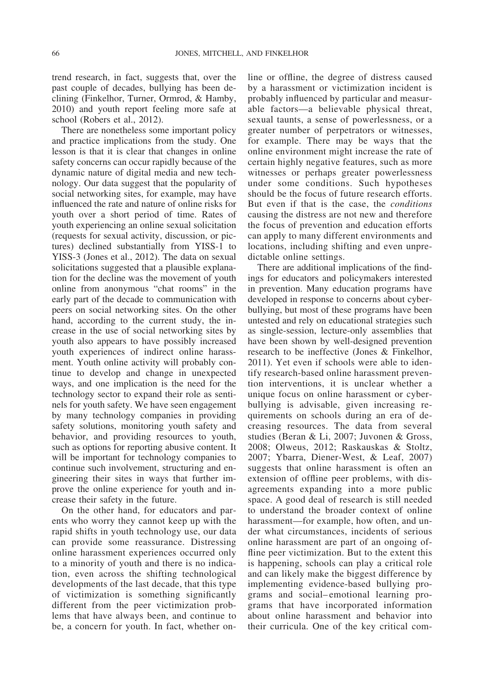trend research, in fact, suggests that, over the past couple of decades, bullying has been declining [\(Finkelhor, Turner, Ormrod, & Hamby,](#page-15-20) [2010\)](#page-15-20) and youth report feeling more safe at school [\(Robers et al., 2012\)](#page-16-4).

There are nonetheless some important policy and practice implications from the study. One lesson is that it is clear that changes in online safety concerns can occur rapidly because of the dynamic nature of digital media and new technology. Our data suggest that the popularity of social networking sites, for example, may have influenced the rate and nature of online risks for youth over a short period of time. Rates of youth experiencing an online sexual solicitation (requests for sexual activity, discussion, or pictures) declined substantially from YISS-1 to YISS-3 [\(Jones et al., 2012\)](#page-15-1). The data on sexual solicitations suggested that a plausible explanation for the decline was the movement of youth online from anonymous "chat rooms" in the early part of the decade to communication with peers on social networking sites. On the other hand, according to the current study, the increase in the use of social networking sites by youth also appears to have possibly increased youth experiences of indirect online harassment. Youth online activity will probably continue to develop and change in unexpected ways, and one implication is the need for the technology sector to expand their role as sentinels for youth safety. We have seen engagement by many technology companies in providing safety solutions, monitoring youth safety and behavior, and providing resources to youth, such as options for reporting abusive content. It will be important for technology companies to continue such involvement, structuring and engineering their sites in ways that further improve the online experience for youth and increase their safety in the future.

On the other hand, for educators and parents who worry they cannot keep up with the rapid shifts in youth technology use, our data can provide some reassurance. Distressing online harassment experiences occurred only to a minority of youth and there is no indication, even across the shifting technological developments of the last decade, that this type of victimization is something significantly different from the peer victimization problems that have always been, and continue to be, a concern for youth. In fact, whether on-

line or offline, the degree of distress caused by a harassment or victimization incident is probably influenced by particular and measurable factors—a believable physical threat, sexual taunts, a sense of powerlessness, or a greater number of perpetrators or witnesses, for example. There may be ways that the online environment might increase the rate of certain highly negative features, such as more witnesses or perhaps greater powerlessness under some conditions. Such hypotheses should be the focus of future research efforts. But even if that is the case, the *conditions* causing the distress are not new and therefore the focus of prevention and education efforts can apply to many different environments and locations, including shifting and even unpredictable online settings.

There are additional implications of the findings for educators and policymakers interested in prevention. Many education programs have developed in response to concerns about cyberbullying, but most of these programs have been untested and rely on educational strategies such as single-session, lecture-only assemblies that have been shown by well-designed prevention research to be ineffective [\(Jones & Finkelhor,](#page-15-21) [2011\)](#page-15-21). Yet even if schools were able to identify research-based online harassment prevention interventions, it is unclear whether a unique focus on online harassment or cyberbullying is advisable, given increasing requirements on schools during an era of decreasing resources. The data from several studies [\(Beran & Li, 2007;](#page-15-16) [Juvonen & Gross,](#page-15-5) [2008;](#page-15-5) [Olweus, 2012;](#page-16-17) [Raskauskas & Stoltz,](#page-16-18) [2007;](#page-16-18) [Ybarra, Diener-West, & Leaf, 2007\)](#page-16-19) suggests that online harassment is often an extension of offline peer problems, with disagreements expanding into a more public space. A good deal of research is still needed to understand the broader context of online harassment—for example, how often, and under what circumstances, incidents of serious online harassment are part of an ongoing offline peer victimization. But to the extent this is happening, schools can play a critical role and can likely make the biggest difference by implementing evidence-based bullying programs and social–emotional learning programs that have incorporated information about online harassment and behavior into their curricula. One of the key critical com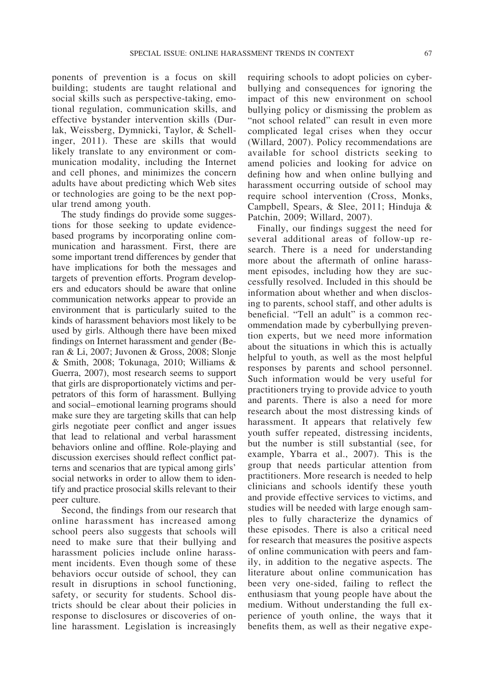ponents of prevention is a focus on skill building; students are taught relational and social skills such as perspective-taking, emotional regulation, communication skills, and effective bystander intervention skills [\(Dur](#page-15-22)[lak, Weissberg, Dymnicki, Taylor, & Schell](#page-15-22)[inger, 2011\)](#page-15-22). These are skills that would likely translate to any environment or communication modality, including the Internet and cell phones, and minimizes the concern adults have about predicting which Web sites or technologies are going to be the next popular trend among youth.

The study findings do provide some suggestions for those seeking to update evidencebased programs by incorporating online communication and harassment. First, there are some important trend differences by gender that have implications for both the messages and targets of prevention efforts. Program developers and educators should be aware that online communication networks appear to provide an environment that is particularly suited to the kinds of harassment behaviors most likely to be used by girls. Although there have been mixed findings on Internet harassment and gender [\(Be](#page-15-16)[ran & Li, 2007;](#page-15-16) [Juvonen & Gross, 2008;](#page-15-5) [Slonje](#page-16-20) [& Smith, 2008;](#page-16-20) [Tokunaga, 2010;](#page-16-10) [Williams &](#page-16-21) [Guerra, 2007\)](#page-16-21), most research seems to support that girls are disproportionately victims and perpetrators of this form of harassment. Bullying and social–emotional learning programs should make sure they are targeting skills that can help girls negotiate peer conflict and anger issues that lead to relational and verbal harassment behaviors online and offline. Role-playing and discussion exercises should reflect conflict patterns and scenarios that are typical among girls' social networks in order to allow them to identify and practice prosocial skills relevant to their peer culture.

Second, the findings from our research that online harassment has increased among school peers also suggests that schools will need to make sure that their bullying and harassment policies include online harassment incidents. Even though some of these behaviors occur outside of school, they can result in disruptions in school functioning, safety, or security for students. School districts should be clear about their policies in response to disclosures or discoveries of online harassment. Legislation is increasingly

requiring schools to adopt policies on cyberbullying and consequences for ignoring the impact of this new environment on school bullying policy or dismissing the problem as "not school related" can result in even more complicated legal crises when they occur [\(Willard, 2007\)](#page-16-22). Policy recommendations are available for school districts seeking to amend policies and looking for advice on defining how and when online bullying and harassment occurring outside of school may require school intervention [\(Cross, Monks,](#page-15-23) [Campbell, Spears, & Slee, 2011;](#page-15-23) [Hinduja &](#page-15-24) [Patchin, 2009;](#page-15-24) [Willard, 2007\)](#page-16-22).

Finally, our findings suggest the need for several additional areas of follow-up research. There is a need for understanding more about the aftermath of online harassment episodes, including how they are successfully resolved. Included in this should be information about whether and when disclosing to parents, school staff, and other adults is beneficial. "Tell an adult" is a common recommendation made by cyberbullying prevention experts, but we need more information about the situations in which this is actually helpful to youth, as well as the most helpful responses by parents and school personnel. Such information would be very useful for practitioners trying to provide advice to youth and parents. There is also a need for more research about the most distressing kinds of harassment. It appears that relatively few youth suffer repeated, distressing incidents, but the number is still substantial (see, for example, [Ybarra et al., 2007\)](#page-16-19). This is the group that needs particular attention from practitioners. More research is needed to help clinicians and schools identify these youth and provide effective services to victims, and studies will be needed with large enough samples to fully characterize the dynamics of these episodes. There is also a critical need for research that measures the positive aspects of online communication with peers and family, in addition to the negative aspects. The literature about online communication has been very one-sided, failing to reflect the enthusiasm that young people have about the medium. Without understanding the full experience of youth online, the ways that it benefits them, as well as their negative expe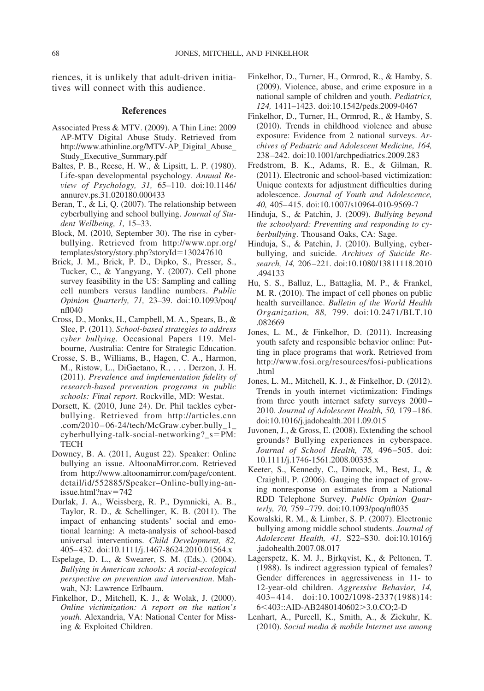riences, it is unlikely that adult-driven initiatives will connect with this audience.

## **References**

- <span id="page-15-3"></span>Associated Press & MTV. (2009). A Thin Line: 2009 AP-MTV Digital Abuse Study. Retrieved from [http://www.athinline.org/MTV-AP\\_Digital\\_Abuse\\_](www.athinline.org/MTV-AP_Digital_Abuse_Study_Executive_Summary.pdf) [Study\\_Executive\\_Summary.pdf](www.athinline.org/MTV-AP_Digital_Abuse_Study_Executive_Summary.pdf)
- <span id="page-15-15"></span>Baltes, P. B., Reese, H. W., & Lipsitt, L. P. (1980). Life-span developmental psychology. *Annual Review of Psychology, 31,* 65–110. [doi:10.1146/](http://dx.doi.org/10.1146/annurev.ps.31.020180.000433) [annurev.ps.31.020180.000433](http://dx.doi.org/10.1146/annurev.ps.31.020180.000433)
- <span id="page-15-16"></span>Beran, T., & Li, Q. (2007). The relationship between cyberbullying and school bullying. *Journal of Student Wellbeing, 1,* 15–33.
- <span id="page-15-10"></span>Block, M. (2010, September 30). The rise in cyberbullying. Retrieved from [http://www.npr.org/](www.npr.org/templates/story/story.php?storyId=130247610) [templates/story/story.php?storyId](www.npr.org/templates/story/story.php?storyId=130247610)=130247610
- <span id="page-15-7"></span>Brick, J. M., Brick, P. D., Dipko, S., Presser, S., Tucker, C., & Yangyang, Y. (2007). Cell phone survey feasibility in the US: Sampling and calling cell numbers versus landline numbers. *Public Opinion Quarterly, 71,* 23–39. [doi:10.1093/poq/](http://dx.doi.org/10.1093/poq/nfl040) [nfl040](http://dx.doi.org/10.1093/poq/nfl040)
- <span id="page-15-23"></span>Cross, D., Monks, H., Campbell, M. A., Spears, B., & Slee, P. (2011). *School-based strategies to address cyber bullying.* Occasional Papers 119. Melbourne, Australia: Centre for Strategic Education.
- <span id="page-15-13"></span>Crosse, S. B., Williams, B., Hagen, C. A., Harmon, M., Ristow, L., DiGaetano, R.,... Derzon, J. H. (2011). *Prevalence and implementation fidelity of research-based prevention programs in public schools: Final report*. Rockville, MD: Westat.
- <span id="page-15-11"></span>Dorsett, K. (2010, June 24). Dr. Phil tackles cyberbullying. Retrieved from [http://articles.cnn](articles.cnn.com/2010-06-24/tech/McGraw.cyber.bully_1_cyberbullying-talk-social-networking?_s=PM:TECH) [.com/2010–06-24/tech/McGraw.cyber.bully\\_1\\_](articles.cnn.com/2010-06-24/tech/McGraw.cyber.bully_1_cyberbullying-talk-social-networking?_s=PM:TECH) cyberbullying-talk-social-networking? $_s = PM$ : **[TECH](articles.cnn.com/2010-06-24/tech/McGraw.cyber.bully_1_cyberbullying-talk-social-networking?_s=PM:TECH)**
- <span id="page-15-18"></span>Downey, B. A. (2011, August 22). Speaker: Online bullying an issue. AltoonaMirror.com. Retrieved from [http://www.altoonamirror.com/page/content.](www.altoonamirror.com/page/content.detail/id/552885/Speaker-Online-bullying-an-issue.html?nav=742) [detail/id/552885/Speaker–Online-bullying-an](www.altoonamirror.com/page/content.detail/id/552885/Speaker-Online-bullying-an-issue.html?nav=742)[issue.html?nav](www.altoonamirror.com/page/content.detail/id/552885/Speaker-Online-bullying-an-issue.html?nav=742)= $742$
- <span id="page-15-22"></span>Durlak, J. A., Weissberg, R. P., Dymnicki, A. B., Taylor, R. D., & Schellinger, K. B. (2011). The impact of enhancing students' social and emotional learning: A meta-analysis of school-based universal interventions. *Child Development, 82,* 405–432. [doi:10.1111/j.1467-8624.2010.01564.x](http://dx.doi.org/10.1111/j.1467-8624.2010.01564.x)
- <span id="page-15-12"></span>Espelage, D. L., & Swearer, S. M. (Eds.). (2004). *Bullying in American schools: A social-ecological perspective on prevention and intervention*. Mahwah, NJ: Lawrence Erlbaum.
- <span id="page-15-0"></span>Finkelhor, D., Mitchell, K. J., & Wolak, J. (2000). *Online victimization: A report on the nation's youth*. Alexandria, VA: National Center for Missing & Exploited Children.
- <span id="page-15-19"></span>Finkelhor, D., Turner, H., Ormrod, R., & Hamby, S. (2009). Violence, abuse, and crime exposure in a national sample of children and youth. *Pediatrics, 124,* 1411–1423. [doi:10.1542/peds.2009-0467](http://dx.doi.org/10.1542/peds.2009-0467)
- <span id="page-15-20"></span>Finkelhor, D., Turner, H., Ormrod, R., & Hamby, S. (2010). Trends in childhood violence and abuse exposure: Evidence from 2 national surveys. *Archives of Pediatric and Adolescent Medicine, 164,* 238–242. [doi:10.1001/archpediatrics.2009.283](http://dx.doi.org/10.1001/archpediatrics.2009.283)
- <span id="page-15-4"></span>Fredstrom, B. K., Adams, R. E., & Gilman, R. (2011). Electronic and school-based victimization: Unique contexts for adjustment difficulties during adolescence. *Journal of Youth and Adolescence, 40,* 405–415. [doi:10.1007/s10964-010-9569-7](http://dx.doi.org/10.1007/s10964-010-9569-7)
- <span id="page-15-24"></span>Hinduja, S., & Patchin, J. (2009). *Bullying beyond the schoolyard: Preventing and responding to cyberbullying*. Thousand Oaks, CA: Sage.
- <span id="page-15-17"></span>Hinduja, S., & Patchin, J. (2010). Bullying, cyberbullying, and suicide. *Archives of Suicide Research, 14,* 206–221. [doi:10.1080/13811118.2010](http://dx.doi.org/10.1080/13811118.2010.494133) [.494133](http://dx.doi.org/10.1080/13811118.2010.494133)
- <span id="page-15-8"></span>Hu, S. S., Balluz, L., Battaglia, M. P., & Frankel, M. R. (2010). The impact of cell phones on public health surveillance. *Bulletin of the World Health Organization, 88,* 799. [doi:10.2471/BLT.10](http://dx.doi.org/10.2471/BLT.10.082669) [.082669](http://dx.doi.org/10.2471/BLT.10.082669)
- <span id="page-15-21"></span>Jones, L. M., & Finkelhor, D. (2011). Increasing youth safety and responsible behavior online: Putting in place programs that work. Retrieved from [http://www.fosi.org/resources/fosi-publications](www.fosi.org/resources/fosi-publications.html) [.html](www.fosi.org/resources/fosi-publications.html)
- <span id="page-15-1"></span>Jones, L. M., Mitchell, K. J., & Finkelhor, D. (2012). Trends in youth internet victimization: Findings from three youth internet safety surveys 2000– 2010. *Journal of Adolescent Health, 50,* 179–186. [doi:10.1016/j.jadohealth.2011.09.015](http://dx.doi.org/10.1016/j.jadohealth.2011.09.015)
- <span id="page-15-5"></span>Juvonen, J., & Gross, E. (2008). Extending the school grounds? Bullying experiences in cyberspace. *Journal of School Health, 78,* 496–505. [doi:](http://dx.doi.org/10.1111/j.1746-1561.2008.00335.x) [10.1111/j.1746-1561.2008.00335.x](http://dx.doi.org/10.1111/j.1746-1561.2008.00335.x)
- <span id="page-15-14"></span>Keeter, S., Kennedy, C., Dimock, M., Best, J., & Craighill, P. (2006). Gauging the impact of growing nonresponse on estimates from a National RDD Telephone Survey. *Public Opinion Quarterly, 70,* 759–779. [doi:10.1093/poq/nfl035](http://dx.doi.org/10.1093/poq/nfl035)
- <span id="page-15-6"></span>Kowalski, R. M., & Limber, S. P. (2007). Electronic bullying among middle school students. *Journal of Adolescent Health, 41,* S22–S30. [doi:10.1016/j](http://dx.doi.org/10.1016/j.jadohealth.2007.08.017) [.jadohealth.2007.08.017](http://dx.doi.org/10.1016/j.jadohealth.2007.08.017)
- <span id="page-15-9"></span>Lagerspetz, K. M. J., Bjrkqvist, K., & Peltonen, T. (1988). Is indirect aggression typical of females? Gender differences in aggressiveness in 11- to 12-year-old children. *Aggressive Behavior, 14,* 403–414. [doi:10.1002/1098-2337\(1988\)14:](http://dx.doi.org/10.1002/1098-2337(1988)14:6%3C403::AID-AB2480140602%3E3.0.CO%3B2-D) 6<[403::AID-AB2480140602](http://dx.doi.org/10.1002/1098-2337(1988)14:6%3C403::AID-AB2480140602%3E3.0.CO%3B2-D)>3.0.CO;2-D
- <span id="page-15-2"></span>Lenhart, A., Purcell, K., Smith, A., & Zickuhr, K. (2010). *Social media & mobile Internet use among*